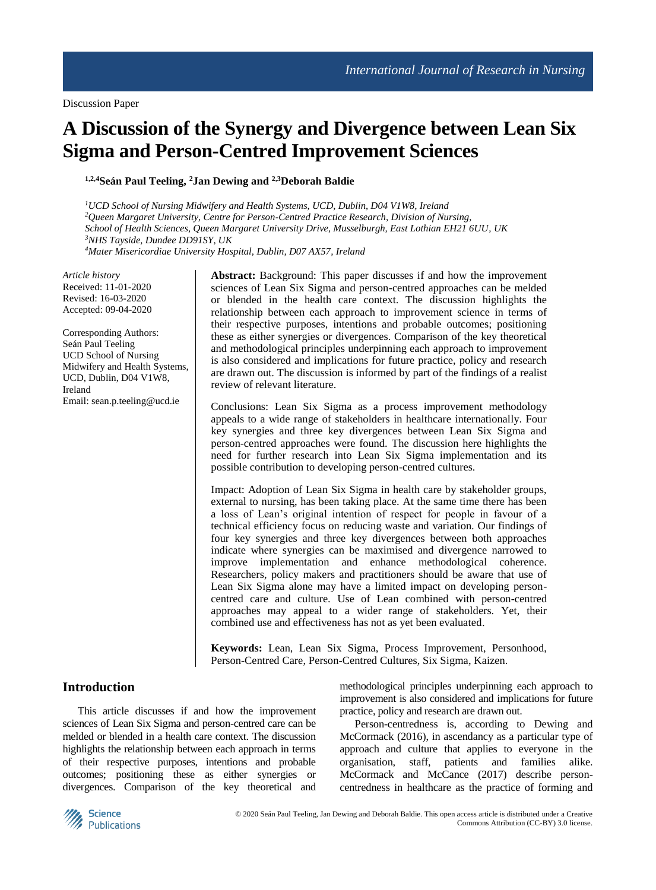# **A Discussion of the Synergy and Divergence between Lean Six Sigma and Person-Centred Improvement Sciences**

**1,2,4Seán Paul Teeling, <sup>2</sup>Jan Dewing and 2,3Deborah Baldie**

*UCD School of Nursing Midwifery and Health Systems, UCD, Dublin, D04 V1W8, Ireland Queen Margaret University, Centre for Person-Centred Practice Research, Division of Nursing, School of Health Sciences, Queen Margaret University Drive, Musselburgh, East Lothian EH21 6UU, UK NHS Tayside, Dundee DD91SY, UK Mater Misericordiae University Hospital, Dublin, D07 AX57, Ireland*

*Article history* Received: 11-01-2020 Revised: 16-03-2020 Accepted: 09-04-2020

Corresponding Authors: Seán Paul Teeling UCD School of Nursing Midwifery and Health Systems, UCD, Dublin, D04 V1W8, Ireland Email: sean.p.teeling@ucd.ie

**Abstract:** Background: This paper discusses if and how the improvement sciences of Lean Six Sigma and person-centred approaches can be melded or blended in the health care context. The discussion highlights the relationship between each approach to improvement science in terms of their respective purposes, intentions and probable outcomes; positioning these as either synergies or divergences. Comparison of the key theoretical and methodological principles underpinning each approach to improvement is also considered and implications for future practice, policy and research are drawn out. The discussion is informed by part of the findings of a realist review of relevant literature.

Conclusions: Lean Six Sigma as a process improvement methodology appeals to a wide range of stakeholders in healthcare internationally. Four key synergies and three key divergences between Lean Six Sigma and person-centred approaches were found. The discussion here highlights the need for further research into Lean Six Sigma implementation and its possible contribution to developing person-centred cultures.

Impact: Adoption of Lean Six Sigma in health care by stakeholder groups, external to nursing, has been taking place. At the same time there has been a loss of Lean's original intention of respect for people in favour of a technical efficiency focus on reducing waste and variation. Our findings of four key synergies and three key divergences between both approaches indicate where synergies can be maximised and divergence narrowed to improve implementation and enhance methodological coherence. Researchers, policy makers and practitioners should be aware that use of Lean Six Sigma alone may have a limited impact on developing personcentred care and culture. Use of Lean combined with person-centred approaches may appeal to a wider range of stakeholders. Yet, their combined use and effectiveness has not as yet been evaluated.

**Keywords:** Lean, Lean Six Sigma, Process Improvement, Personhood, Person-Centred Care, Person-Centred Cultures, Six Sigma, Kaizen.

### **Introduction**

This article discusses if and how the improvement sciences of Lean Six Sigma and person-centred care can be melded or blended in a health care context. The discussion highlights the relationship between each approach in terms of their respective purposes, intentions and probable outcomes; positioning these as either synergies or divergences. Comparison of the key theoretical and methodological principles underpinning each approach to improvement is also considered and implications for future practice, policy and research are drawn out.

Person-centredness is, according to Dewing and McCormack (2016), in ascendancy as a particular type of approach and culture that applies to everyone in the organisation, staff, patients and families alike. McCormack and McCance (2017) describe personcentredness in healthcare as the practice of forming and

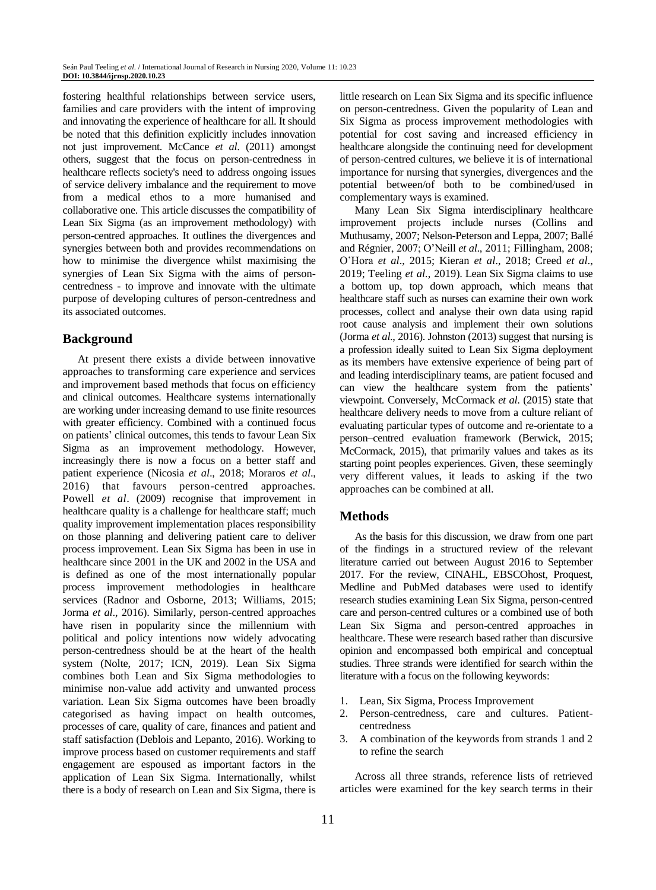fostering healthful relationships between service users, families and care providers with the intent of improving and innovating the experience of healthcare for all. It should be noted that this definition explicitly includes innovation not just improvement. McCance *et al*. (2011) amongst others, suggest that the focus on person-centredness in healthcare reflects society's need to address ongoing issues of service delivery imbalance and the requirement to move from a medical ethos to a more humanised and collaborative one. This article discusses the compatibility of Lean Six Sigma (as an improvement methodology) with person-centred approaches. It outlines the divergences and synergies between both and provides recommendations on how to minimise the divergence whilst maximising the synergies of Lean Six Sigma with the aims of personcentredness - to improve and innovate with the ultimate purpose of developing cultures of person-centredness and its associated outcomes.

# **Background**

At present there exists a divide between innovative approaches to transforming care experience and services and improvement based methods that focus on efficiency and clinical outcomes. Healthcare systems internationally are working under increasing demand to use finite resources with greater efficiency. Combined with a continued focus on patients' clinical outcomes, this tends to favour Lean Six Sigma as an improvement methodology. However, increasingly there is now a focus on a better staff and patient experience (Nicosia *et al*., 2018; Moraros *et al*., 2016) that favours person-centred approaches. Powell *et al*. (2009) recognise that improvement in healthcare quality is a challenge for healthcare staff; much quality improvement implementation places responsibility on those planning and delivering patient care to deliver process improvement. Lean Six Sigma has been in use in healthcare since 2001 in the UK and 2002 in the USA and is defined as one of the most internationally popular process improvement methodologies in healthcare services (Radnor and Osborne, 2013; Williams, 2015; Jorma *et al*., 2016). Similarly, person-centred approaches have risen in popularity since the millennium with political and policy intentions now widely advocating person-centredness should be at the heart of the health system (Nolte, 2017; ICN, 2019). Lean Six Sigma combines both Lean and Six Sigma methodologies to minimise non-value add activity and unwanted process variation. Lean Six Sigma outcomes have been broadly categorised as having impact on health outcomes, processes of care, quality of care, finances and patient and staff satisfaction (Deblois and Lepanto, 2016). Working to improve process based on customer requirements and staff engagement are espoused as important factors in the application of Lean Six Sigma. Internationally, whilst there is a body of research on Lean and Six Sigma, there is

little research on Lean Six Sigma and its specific influence on person-centredness. Given the popularity of Lean and Six Sigma as process improvement methodologies with potential for cost saving and increased efficiency in healthcare alongside the continuing need for development of person-centred cultures, we believe it is of international importance for nursing that synergies, divergences and the potential between/of both to be combined/used in complementary ways is examined.

Many Lean Six Sigma interdisciplinary healthcare improvement projects include nurses (Collins and Muthusamy, 2007; Nelson-Peterson and Leppa, 2007; Ballé and Régnier, 2007; O'Neill *et al*., 2011; Fillingham, 2008; O'Hora *et al*., 2015; Kieran *et al*., 2018; Creed *et al*., 2019; Teeling *et al.*, 2019). Lean Six Sigma claims to use a bottom up, top down approach, which means that healthcare staff such as nurses can examine their own work processes, collect and analyse their own data using rapid root cause analysis and implement their own solutions (Jorma *et al*., 2016). Johnston (2013) suggest that nursing is a profession ideally suited to Lean Six Sigma deployment as its members have extensive experience of being part of and leading interdisciplinary teams, are patient focused and can view the healthcare system from the patients' viewpoint. Conversely, McCormack *et al*. (2015) state that healthcare delivery needs to move from a culture reliant of evaluating particular types of outcome and re-orientate to a person–centred evaluation framework (Berwick, 2015; McCormack, 2015), that primarily values and takes as its starting point peoples experiences. Given, these seemingly very different values, it leads to asking if the two approaches can be combined at all.

# **Methods**

As the basis for this discussion, we draw from one part of the findings in a structured review of the relevant literature carried out between August 2016 to September 2017. For the review, CINAHL, EBSCOhost, Proquest, Medline and PubMed databases were used to identify research studies examining Lean Six Sigma, person-centred care and person-centred cultures or a combined use of both Lean Six Sigma and person-centred approaches in healthcare. These were research based rather than discursive opinion and encompassed both empirical and conceptual studies. Three strands were identified for search within the literature with a focus on the following keywords:

- 1. Lean, Six Sigma, Process Improvement
- 2. Person-centredness, care and cultures. Patientcentredness
- 3. A combination of the keywords from strands 1 and 2 to refine the search

Across all three strands, reference lists of retrieved articles were examined for the key search terms in their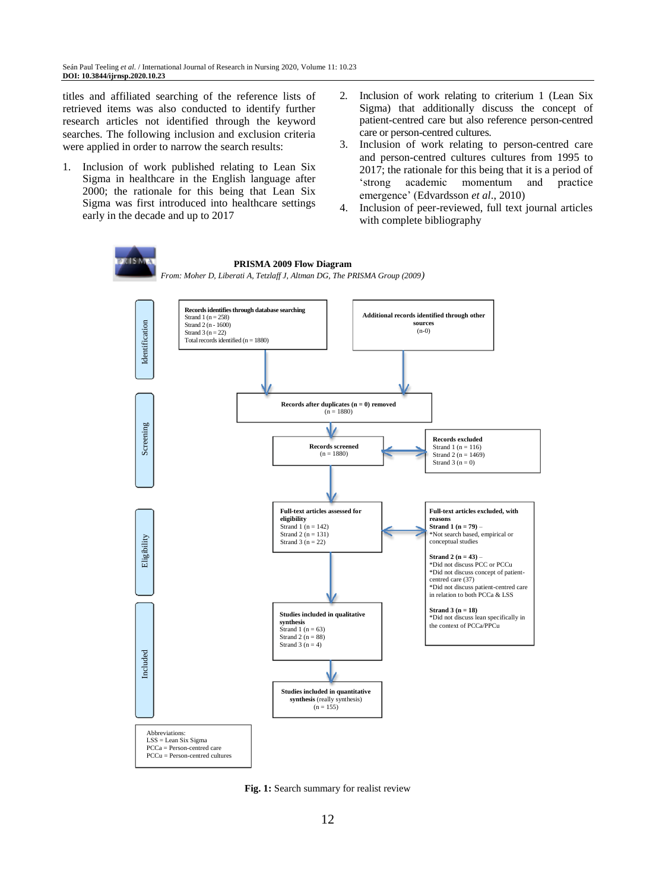titles and affiliated searching of the reference lists of retrieved items was also conducted to identify further research articles not identified through the keyword searches. The following inclusion and exclusion criteria were applied in order to narrow the search results:

- 1. Inclusion of work published relating to Lean Six Sigma in healthcare in the English language after 2000; the rationale for this being that Lean Six Sigma was first introduced into healthcare settings early in the decade and up to 2017
- 2. Inclusion of work relating to criterium 1 (Lean Six Sigma) that additionally discuss the concept of patient-centred care but also reference person-centred care or person-centred cultures.
- 3. Inclusion of work relating to person-centred care and person-centred cultures cultures from 1995 to 2017; the rationale for this being that it is a period of 'strong academic momentum and practice emergence' (Edvardsson *et al*., 2010)
- 4. Inclusion of peer-reviewed, full text journal articles with complete bibliography



**Fig. 1:** Search summary for realist review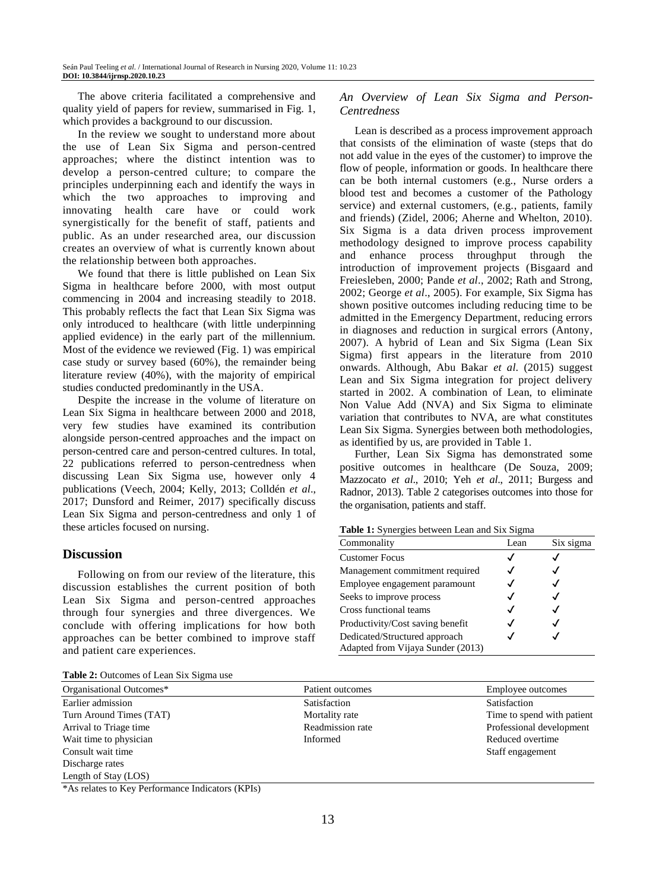The above criteria facilitated a comprehensive and quality yield of papers for review, summarised in Fig. 1, which provides a background to our discussion.

In the review we sought to understand more about the use of Lean Six Sigma and person-centred approaches; where the distinct intention was to develop a person-centred culture; to compare the principles underpinning each and identify the ways in which the two approaches to improving and innovating health care have or could work synergistically for the benefit of staff, patients and public. As an under researched area, our discussion creates an overview of what is currently known about the relationship between both approaches.

We found that there is little published on Lean Six Sigma in healthcare before 2000, with most output commencing in 2004 and increasing steadily to 2018. This probably reflects the fact that Lean Six Sigma was only introduced to healthcare (with little underpinning applied evidence) in the early part of the millennium. Most of the evidence we reviewed (Fig. 1) was empirical case study or survey based (60%), the remainder being literature review (40%), with the majority of empirical studies conducted predominantly in the USA.

Despite the increase in the volume of literature on Lean Six Sigma in healthcare between 2000 and 2018, very few studies have examined its contribution alongside person-centred approaches and the impact on person-centred care and person-centred cultures. In total, 22 publications referred to person-centredness when discussing Lean Six Sigma use, however only 4 publications (Veech, 2004; Kelly, 2013; Colldén *et al*., 2017; Dunsford and Reimer, 2017) specifically discuss Lean Six Sigma and person-centredness and only 1 of these articles focused on nursing.

### **Discussion**

Following on from our review of the literature, this discussion establishes the current position of both Lean Six Sigma and person-centred approaches through four synergies and three divergences. We conclude with offering implications for how both approaches can be better combined to improve staff and patient care experiences.

|  |  | Table 2: Outcomes of Lean Six Sigma use |  |  |  |  |
|--|--|-----------------------------------------|--|--|--|--|
|--|--|-----------------------------------------|--|--|--|--|

#### *An Overview of Lean Six Sigma and Person-Centredness*

Lean is described as a process improvement approach that consists of the elimination of waste (steps that do not add value in the eyes of the customer) to improve the flow of people, information or goods. In healthcare there can be both internal customers (e.g., Nurse orders a blood test and becomes a customer of the Pathology service) and external customers, (e.g., patients, family and friends) (Zidel, 2006; Aherne and Whelton, 2010). Six Sigma is a data driven process improvement methodology designed to improve process capability and enhance process throughput through the introduction of improvement projects (Bisgaard and Freiesleben, 2000; Pande *et al*., 2002; Rath and Strong, 2002; George *et al*., 2005). For example, Six Sigma has shown positive outcomes including reducing time to be admitted in the Emergency Department, reducing errors in diagnoses and reduction in surgical errors (Antony, 2007). A hybrid of Lean and Six Sigma (Lean Six Sigma) first appears in the literature from 2010 onwards. Although, Abu Bakar *et al*. (2015) suggest Lean and Six Sigma integration for project delivery started in 2002. A combination of Lean, to eliminate Non Value Add (NVA) and Six Sigma to eliminate variation that contributes to NVA, are what constitutes Lean Six Sigma. Synergies between both methodologies, as identified by us, are provided in Table 1.

Further, Lean Six Sigma has demonstrated some positive outcomes in healthcare (De Souza, 2009; Mazzocato *et al*., 2010; Yeh *et al*., 2011; Burgess and Radnor, 2013). Table 2 categorises outcomes into those for the organisation, patients and staff.

**Table 1:** Synergies between Lean and Six Sigma

| Commonality                                                        | Lean | Six sigma |
|--------------------------------------------------------------------|------|-----------|
| <b>Customer Focus</b>                                              |      |           |
| Management commitment required                                     |      |           |
| Employee engagement paramount                                      |      |           |
| Seeks to improve process                                           |      |           |
| Cross functional teams                                             |      |           |
| Productivity/Cost saving benefit                                   |      |           |
| Dedicated/Structured approach<br>Adapted from Vijaya Sunder (2013) |      |           |

| Organisational Outcomes*                                                            | Patient outcomes | Employee outcomes          |
|-------------------------------------------------------------------------------------|------------------|----------------------------|
| Earlier admission                                                                   | Satisfaction     | Satisfaction               |
| Turn Around Times (TAT)                                                             | Mortality rate   | Time to spend with patient |
| Arrival to Triage time                                                              | Readmission rate | Professional development   |
| Wait time to physician                                                              | Informed         | Reduced overtime           |
| Consult wait time                                                                   |                  | Staff engagement           |
| Discharge rates                                                                     |                  |                            |
| Length of Stay (LOS)                                                                |                  |                            |
| $*$ $\lambda$ - uplates to $V$ and $D$ afterward in $\lambda$ and $(VDI_{\lambda})$ |                  |                            |

\*As relates to Key Performance Indicators (KPIs)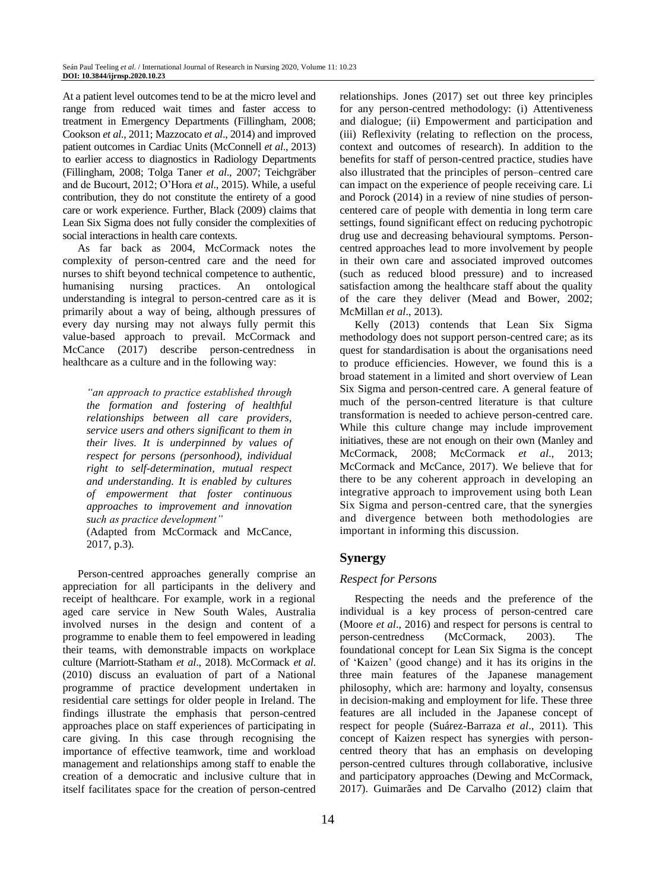At a patient level outcomes tend to be at the micro level and range from reduced wait times and faster access to treatment in Emergency Departments (Fillingham, 2008; Cookson *et al*., 2011; Mazzocato *et al*., 2014) and improved patient outcomes in Cardiac Units (McConnell *et al*., 2013) to earlier access to diagnostics in Radiology Departments (Fillingham, 2008; Tolga Taner *et al*., 2007; Teichgräber and de Bucourt, 2012; O'Hora *et al*., 2015). While, a useful contribution, they do not constitute the entirety of a good care or work experience. Further, Black (2009) claims that Lean Six Sigma does not fully consider the complexities of social interactions in health care contexts.

As far back as 2004, McCormack notes the complexity of person-centred care and the need for nurses to shift beyond technical competence to authentic, humanising nursing practices. An ontological understanding is integral to person-centred care as it is primarily about a way of being, although pressures of every day nursing may not always fully permit this value-based approach to prevail. McCormack and McCance (2017) describe person-centredness in healthcare as a culture and in the following way:

*"an approach to practice established through the formation and fostering of healthful relationships between all care providers, service users and others significant to them in their lives. It is underpinned by values of respect for persons (personhood), individual right to self-determination, mutual respect and understanding. It is enabled by cultures of empowerment that foster continuous approaches to improvement and innovation such as practice development"* (Adapted from McCormack and McCance,

2017, p.3)*.*

Person-centred approaches generally comprise an appreciation for all participants in the delivery and receipt of healthcare. For example, work in a regional aged care service in New South Wales, Australia involved nurses in the design and content of a programme to enable them to feel empowered in leading their teams, with demonstrable impacts on workplace culture (Marriott-Statham *et al*., 2018). McCormack *et al*. (2010) discuss an evaluation of part of a National programme of practice development undertaken in residential care settings for older people in Ireland. The findings illustrate the emphasis that person-centred approaches place on staff experiences of participating in care giving. In this case through recognising the importance of effective teamwork, time and workload management and relationships among staff to enable the creation of a democratic and inclusive culture that in itself facilitates space for the creation of person-centred

relationships. Jones (2017) set out three key principles for any person-centred methodology: (i) Attentiveness and dialogue; (ii) Empowerment and participation and (iii) Reflexivity (relating to reflection on the process, context and outcomes of research). In addition to the benefits for staff of person-centred practice, studies have also illustrated that the principles of person–centred care can impact on the experience of people receiving care. Li and Porock (2014) in a review of nine studies of personcentered care of people with dementia in long term care settings, found significant effect on reducing pychotropic drug use and decreasing behavioural symptoms. Personcentred approaches lead to more involvement by people in their own care and associated improved outcomes (such as reduced blood pressure) and to increased satisfaction among the healthcare staff about the quality of the care they deliver (Mead and Bower, 2002; McMillan *et al*., 2013).

Kelly (2013) contends that Lean Six Sigma methodology does not support person-centred care; as its quest for standardisation is about the organisations need to produce efficiencies. However, we found this is a broad statement in a limited and short overview of Lean Six Sigma and person-centred care. A general feature of much of the person-centred literature is that culture transformation is needed to achieve person-centred care. While this culture change may include improvement initiatives, these are not enough on their own (Manley and McCormack, 2008; McCormack *et al*., 2013; McCormack and McCance, 2017). We believe that for there to be any coherent approach in developing an integrative approach to improvement using both Lean Six Sigma and person-centred care, that the synergies and divergence between both methodologies are important in informing this discussion.

# **Synergy**

### *Respect for Persons*

Respecting the needs and the preference of the individual is a key process of person-centred care (Moore *et al*., 2016) and respect for persons is central to person-centredness (McCormack, 2003). The foundational concept for Lean Six Sigma is the concept of 'Kaizen' (good change) and it has its origins in the three main features of the Japanese management philosophy, which are: harmony and loyalty, consensus in decision-making and employment for life. These three features are all included in the Japanese concept of respect for people (Suárez-Barraza *et al*., 2011). This concept of Kaizen respect has synergies with personcentred theory that has an emphasis on developing person-centred cultures through collaborative, inclusive and participatory approaches (Dewing and McCormack, 2017). Guimarães and De Carvalho (2012) claim that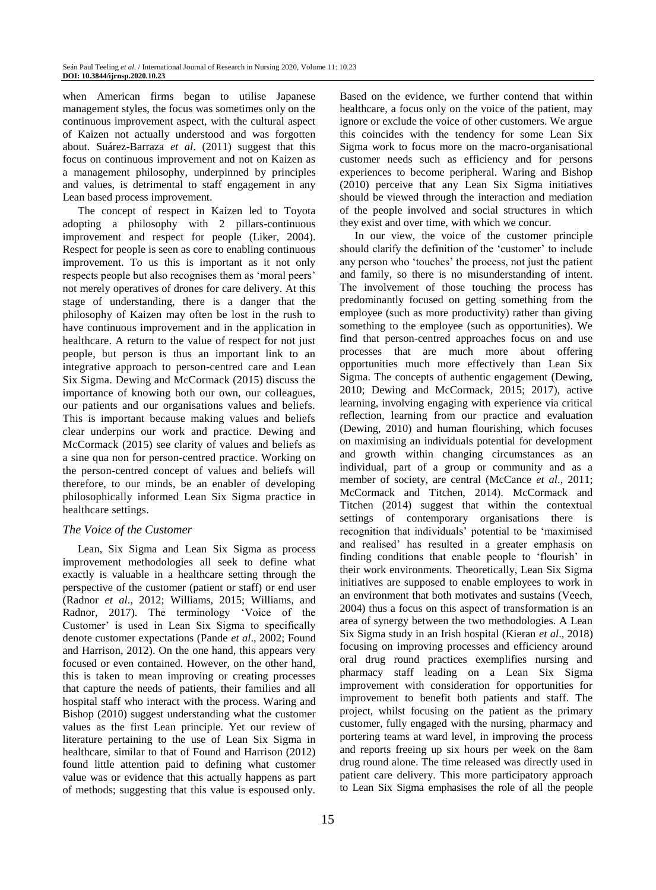when American firms began to utilise Japanese management styles, the focus was sometimes only on the continuous improvement aspect, with the cultural aspect of Kaizen not actually understood and was forgotten about. Suárez-Barraza *et al*. (2011) suggest that this focus on continuous improvement and not on Kaizen as a management philosophy, underpinned by principles and values, is detrimental to staff engagement in any Lean based process improvement.

The concept of respect in Kaizen led to Toyota adopting a philosophy with 2 pillars-continuous improvement and respect for people (Liker, 2004). Respect for people is seen as core to enabling continuous improvement. To us this is important as it not only respects people but also recognises them as 'moral peers' not merely operatives of drones for care delivery. At this stage of understanding, there is a danger that the philosophy of Kaizen may often be lost in the rush to have continuous improvement and in the application in healthcare. A return to the value of respect for not just people, but person is thus an important link to an integrative approach to person-centred care and Lean Six Sigma. Dewing and McCormack (2015) discuss the importance of knowing both our own, our colleagues, our patients and our organisations values and beliefs. This is important because making values and beliefs clear underpins our work and practice. Dewing and McCormack (2015) see clarity of values and beliefs as a sine qua non for person-centred practice. Working on the person-centred concept of values and beliefs will therefore, to our minds, be an enabler of developing philosophically informed Lean Six Sigma practice in healthcare settings.

### *The Voice of the Customer*

Lean, Six Sigma and Lean Six Sigma as process improvement methodologies all seek to define what exactly is valuable in a healthcare setting through the perspective of the customer (patient or staff) or end user (Radnor *et al*., 2012; Williams, 2015; Williams, and Radnor, 2017). The terminology 'Voice of the Customer' is used in Lean Six Sigma to specifically denote customer expectations (Pande *et al*., 2002; Found and Harrison, 2012). On the one hand, this appears very focused or even contained. However, on the other hand, this is taken to mean improving or creating processes that capture the needs of patients, their families and all hospital staff who interact with the process. Waring and Bishop (2010) suggest understanding what the customer values as the first Lean principle. Yet our review of literature pertaining to the use of Lean Six Sigma in healthcare, similar to that of Found and Harrison (2012) found little attention paid to defining what customer value was or evidence that this actually happens as part of methods; suggesting that this value is espoused only.

Based on the evidence, we further contend that within healthcare, a focus only on the voice of the patient, may ignore or exclude the voice of other customers. We argue this coincides with the tendency for some Lean Six Sigma work to focus more on the macro-organisational customer needs such as efficiency and for persons experiences to become peripheral. Waring and Bishop (2010) perceive that any Lean Six Sigma initiatives should be viewed through the interaction and mediation of the people involved and social structures in which they exist and over time, with which we concur.

In our view, the voice of the customer principle should clarify the definition of the 'customer' to include any person who 'touches' the process, not just the patient and family, so there is no misunderstanding of intent. The involvement of those touching the process has predominantly focused on getting something from the employee (such as more productivity) rather than giving something to the employee (such as opportunities). We find that person-centred approaches focus on and use processes that are much more about offering opportunities much more effectively than Lean Six Sigma. The concepts of authentic engagement (Dewing, 2010; Dewing and McCormack, 2015; 2017), active learning, involving engaging with experience via critical reflection, learning from our practice and evaluation (Dewing, 2010) and human flourishing, which focuses on maximising an individuals potential for development and growth within changing circumstances as an individual, part of a group or community and as a member of society, are central (McCance *et al*., 2011; McCormack and Titchen, 2014). McCormack and Titchen (2014) suggest that within the contextual settings of contemporary organisations there is recognition that individuals' potential to be 'maximised and realised' has resulted in a greater emphasis on finding conditions that enable people to 'flourish' in their work environments. Theoretically, Lean Six Sigma initiatives are supposed to enable employees to work in an environment that both motivates and sustains (Veech, 2004) thus a focus on this aspect of transformation is an area of synergy between the two methodologies. A Lean Six Sigma study in an Irish hospital (Kieran *et al*., 2018) focusing on improving processes and efficiency around oral drug round practices exemplifies nursing and pharmacy staff leading on a Lean Six Sigma improvement with consideration for opportunities for improvement to benefit both patients and staff. The project, whilst focusing on the patient as the primary customer, fully engaged with the nursing, pharmacy and portering teams at ward level, in improving the process and reports freeing up six hours per week on the 8am drug round alone. The time released was directly used in patient care delivery. This more participatory approach to Lean Six Sigma emphasises the role of all the people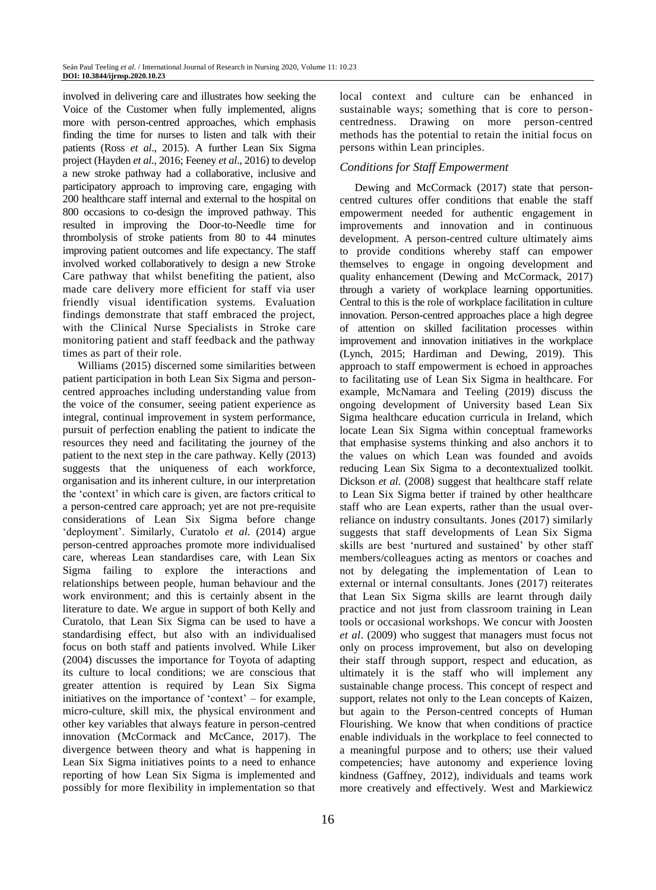involved in delivering care and illustrates how seeking the Voice of the Customer when fully implemented, aligns more with person-centred approaches, which emphasis finding the time for nurses to listen and talk with their patients (Ross *et al*., 2015). A further Lean Six Sigma project (Hayden *et al*., 2016; Feeney *et al*., 2016) to develop a new stroke pathway had a collaborative, inclusive and participatory approach to improving care, engaging with 200 healthcare staff internal and external to the hospital on 800 occasions to co-design the improved pathway. This resulted in improving the Door-to-Needle time for thrombolysis of stroke patients from 80 to 44 minutes improving patient outcomes and life expectancy. The staff involved worked collaboratively to design a new Stroke Care pathway that whilst benefiting the patient, also made care delivery more efficient for staff via user friendly visual identification systems. Evaluation findings demonstrate that staff embraced the project, with the Clinical Nurse Specialists in Stroke care monitoring patient and staff feedback and the pathway times as part of their role.

Williams (2015) discerned some similarities between patient participation in both Lean Six Sigma and personcentred approaches including understanding value from the voice of the consumer, seeing patient experience as integral, continual improvement in system performance, pursuit of perfection enabling the patient to indicate the resources they need and facilitating the journey of the patient to the next step in the care pathway. Kelly (2013) suggests that the uniqueness of each workforce, organisation and its inherent culture, in our interpretation the 'context' in which care is given, are factors critical to a person-centred care approach; yet are not pre-requisite considerations of Lean Six Sigma before change 'deployment'. Similarly, Curatolo *et al*. (2014) argue person-centred approaches promote more individualised care, whereas Lean standardises care, with Lean Six Sigma failing to explore the interactions and relationships between people, human behaviour and the work environment; and this is certainly absent in the literature to date. We argue in support of both Kelly and Curatolo, that Lean Six Sigma can be used to have a standardising effect, but also with an individualised focus on both staff and patients involved. While Liker (2004) discusses the importance for Toyota of adapting its culture to local conditions; we are conscious that greater attention is required by Lean Six Sigma initiatives on the importance of 'context' – for example, micro-culture, skill mix, the physical environment and other key variables that always feature in person-centred innovation (McCormack and McCance, 2017). The divergence between theory and what is happening in Lean Six Sigma initiatives points to a need to enhance reporting of how Lean Six Sigma is implemented and possibly for more flexibility in implementation so that

local context and culture can be enhanced in sustainable ways; something that is core to personcentredness. Drawing on more person-centred methods has the potential to retain the initial focus on persons within Lean principles.

# *Conditions for Staff Empowerment*

Dewing and McCormack (2017) state that personcentred cultures offer conditions that enable the staff empowerment needed for authentic engagement in improvements and innovation and in continuous development. A person-centred culture ultimately aims to provide conditions whereby staff can empower themselves to engage in ongoing development and quality enhancement (Dewing and McCormack, 2017) through a variety of workplace learning opportunities. Central to this is the role of workplace facilitation in culture innovation. Person-centred approaches place a high degree of attention on skilled facilitation processes within improvement and innovation initiatives in the workplace (Lynch, 2015; Hardiman and Dewing, 2019). This approach to staff empowerment is echoed in approaches to facilitating use of Lean Six Sigma in healthcare. For example, McNamara and Teeling (2019) discuss the ongoing development of University based Lean Six Sigma healthcare education curricula in Ireland, which locate Lean Six Sigma within conceptual frameworks that emphasise systems thinking and also anchors it to the values on which Lean was founded and avoids reducing Lean Six Sigma to a decontextualized toolkit. Dickson *et al*. (2008) suggest that healthcare staff relate to Lean Six Sigma better if trained by other healthcare staff who are Lean experts, rather than the usual overreliance on industry consultants. Jones (2017) similarly suggests that staff developments of Lean Six Sigma skills are best 'nurtured and sustained' by other staff members/colleagues acting as mentors or coaches and not by delegating the implementation of Lean to external or internal consultants. Jones (2017) reiterates that Lean Six Sigma skills are learnt through daily practice and not just from classroom training in Lean tools or occasional workshops. We concur with Joosten *et al*. (2009) who suggest that managers must focus not only on process improvement, but also on developing their staff through support, respect and education, as ultimately it is the staff who will implement any sustainable change process. This concept of respect and support, relates not only to the Lean concepts of Kaizen, but again to the Person-centred concepts of Human Flourishing. We know that when conditions of practice enable individuals in the workplace to feel connected to a meaningful purpose and to others; use their valued competencies; have autonomy and experience loving kindness (Gaffney, 2012), individuals and teams work more creatively and effectively. West and Markiewicz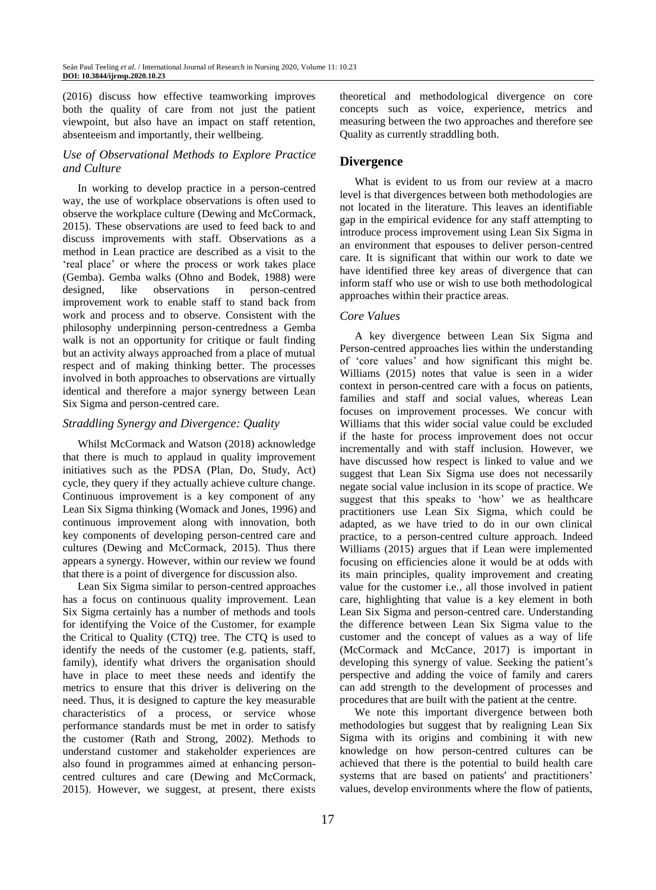(2016) discuss how effective teamworking improves both the quality of care from not just the patient viewpoint, but also have an impact on staff retention, absenteeism and importantly, their wellbeing.

# *Use of Observational Methods to Explore Practice and Culture*

In working to develop practice in a person-centred way, the use of workplace observations is often used to observe the workplace culture (Dewing and McCormack, 2015). These observations are used to feed back to and discuss improvements with staff. Observations as a method in Lean practice are described as a visit to the 'real place' or where the process or work takes place (Gemba). Gemba walks (Ohno and Bodek, 1988) were designed, like observations in person-centred improvement work to enable staff to stand back from work and process and to observe. Consistent with the philosophy underpinning person-centredness a Gemba walk is not an opportunity for critique or fault finding but an activity always approached from a place of mutual respect and of making thinking better. The processes involved in both approaches to observations are virtually identical and therefore a major synergy between Lean Six Sigma and person-centred care.

#### *Straddling Synergy and Divergence: Quality*

Whilst McCormack and Watson (2018) acknowledge that there is much to applaud in quality improvement initiatives such as the PDSA (Plan, Do, Study, Act) cycle, they query if they actually achieve culture change. Continuous improvement is a key component of any Lean Six Sigma thinking (Womack and Jones, 1996) and continuous improvement along with innovation, both key components of developing person-centred care and cultures (Dewing and McCormack, 2015). Thus there appears a synergy. However, within our review we found that there is a point of divergence for discussion also.

Lean Six Sigma similar to person-centred approaches has a focus on continuous quality improvement. Lean Six Sigma certainly has a number of methods and tools for identifying the Voice of the Customer, for example the Critical to Quality (CTQ) tree. The CTQ is used to identify the needs of the customer (e.g. patients, staff, family), identify what drivers the organisation should have in place to meet these needs and identify the metrics to ensure that this driver is delivering on the need. Thus, it is designed to capture the key measurable characteristics of a process, or service whose performance standards must be met in order to satisfy the customer (Rath and Strong, 2002). Methods to understand customer and stakeholder experiences are also found in programmes aimed at enhancing personcentred cultures and care (Dewing and McCormack, 2015). However, we suggest, at present, there exists

theoretical and methodological divergence on core concepts such as voice, experience, metrics and measuring between the two approaches and therefore see Quality as currently straddling both.

# **Divergence**

What is evident to us from our review at a macro level is that divergences between both methodologies are not located in the literature. This leaves an identifiable gap in the empirical evidence for any staff attempting to introduce process improvement using Lean Six Sigma in an environment that espouses to deliver person-centred care. It is significant that within our work to date we have identified three key areas of divergence that can inform staff who use or wish to use both methodological approaches within their practice areas.

#### *Core Values*

A key divergence between Lean Six Sigma and Person-centred approaches lies within the understanding of 'core values' and how significant this might be. Williams (2015) notes that value is seen in a wider context in person-centred care with a focus on patients, families and staff and social values, whereas Lean focuses on improvement processes. We concur with Williams that this wider social value could be excluded if the haste for process improvement does not occur incrementally and with staff inclusion. However, we have discussed how respect is linked to value and we suggest that Lean Six Sigma use does not necessarily negate social value inclusion in its scope of practice. We suggest that this speaks to 'how' we as healthcare practitioners use Lean Six Sigma, which could be adapted, as we have tried to do in our own clinical practice, to a person-centred culture approach. Indeed Williams (2015) argues that if Lean were implemented focusing on efficiencies alone it would be at odds with its main principles, quality improvement and creating value for the customer i.e., all those involved in patient care, highlighting that value is a key element in both Lean Six Sigma and person-centred care. Understanding the difference between Lean Six Sigma value to the customer and the concept of values as a way of life (McCormack and McCance, 2017) is important in developing this synergy of value. Seeking the patient's perspective and adding the voice of family and carers can add strength to the development of processes and procedures that are built with the patient at the centre.

We note this important divergence between both methodologies but suggest that by realigning Lean Six Sigma with its origins and combining it with new knowledge on how person-centred cultures can be achieved that there is the potential to build health care systems that are based on patients' and practitioners' values, develop environments where the flow of patients,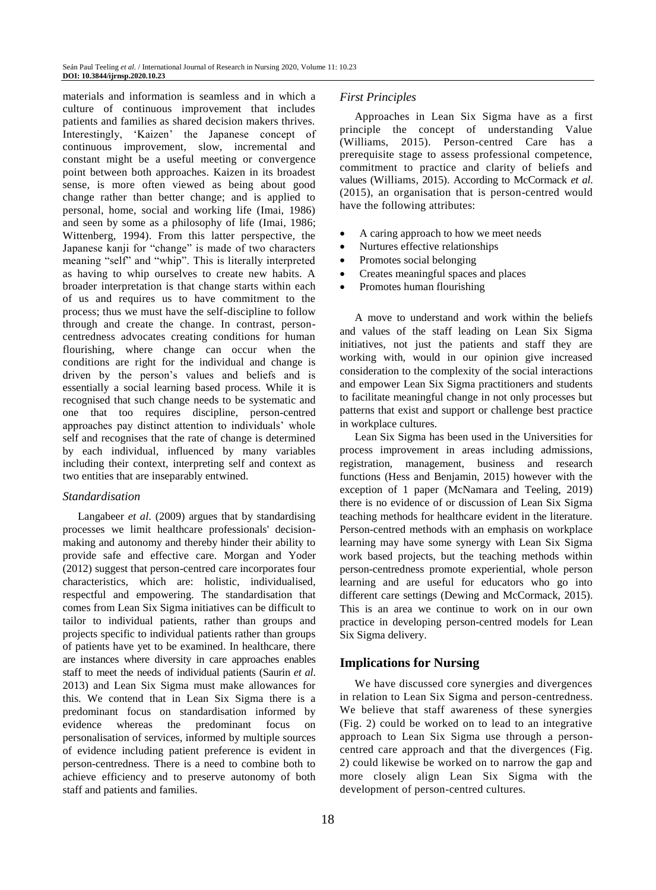materials and information is seamless and in which a culture of continuous improvement that includes patients and families as shared decision makers thrives. Interestingly, 'Kaizen' the Japanese concept of continuous improvement, slow, incremental and constant might be a useful meeting or convergence point between both approaches. Kaizen in its broadest sense, is more often viewed as being about good change rather than better change; and is applied to personal, home, social and working life (Imai, 1986) and seen by some as a philosophy of life (Imai, 1986; Wittenberg, 1994). From this latter perspective, the Japanese kanji for "change" is made of two characters meaning "self" and "whip". This is literally interpreted as having to whip ourselves to create new habits. A broader interpretation is that change starts within each of us and requires us to have commitment to the process; thus we must have the self-discipline to follow through and create the change. In contrast, personcentredness advocates creating conditions for human flourishing, where change can occur when the conditions are right for the individual and change is driven by the person's values and beliefs and is essentially a social learning based process. While it is recognised that such change needs to be systematic and one that too requires discipline, person-centred approaches pay distinct attention to individuals' whole self and recognises that the rate of change is determined by each individual, influenced by many variables including their context, interpreting self and context as two entities that are inseparably entwined.

#### *Standardisation*

Langabeer *et al*. (2009) argues that by standardising processes we limit healthcare professionals' decisionmaking and autonomy and thereby hinder their ability to provide safe and effective care. Morgan and Yoder (2012) suggest that person-centred care incorporates four characteristics, which are: holistic, individualised, respectful and empowering. The standardisation that comes from Lean Six Sigma initiatives can be difficult to tailor to individual patients, rather than groups and projects specific to individual patients rather than groups of patients have yet to be examined. In healthcare, there are instances where diversity in care approaches enables staff to meet the needs of individual patients (Saurin *et al*. 2013) and Lean Six Sigma must make allowances for this. We contend that in Lean Six Sigma there is a predominant focus on standardisation informed by evidence whereas the predominant focus on personalisation of services, informed by multiple sources of evidence including patient preference is evident in person-centredness. There is a need to combine both to achieve efficiency and to preserve autonomy of both staff and patients and families.

*First Principles*

Approaches in Lean Six Sigma have as a first principle the concept of understanding Value (Williams, 2015). Person-centred Care has a prerequisite stage to assess professional competence, commitment to practice and clarity of beliefs and values (Williams, 2015). According to McCormack *et al*. (2015), an organisation that is person-centred would have the following attributes:

- A caring approach to how we meet needs
- Nurtures effective relationships
- Promotes social belonging
- Creates meaningful spaces and places
- Promotes human flourishing

A move to understand and work within the beliefs and values of the staff leading on Lean Six Sigma initiatives, not just the patients and staff they are working with, would in our opinion give increased consideration to the complexity of the social interactions and empower Lean Six Sigma practitioners and students to facilitate meaningful change in not only processes but patterns that exist and support or challenge best practice in workplace cultures.

Lean Six Sigma has been used in the Universities for process improvement in areas including admissions, registration, management, business and research functions (Hess and Benjamin, 2015) however with the exception of 1 paper (McNamara and Teeling, 2019) there is no evidence of or discussion of Lean Six Sigma teaching methods for healthcare evident in the literature. Person-centred methods with an emphasis on workplace learning may have some synergy with Lean Six Sigma work based projects, but the teaching methods within person-centredness promote experiential, whole person learning and are useful for educators who go into different care settings (Dewing and McCormack, 2015). This is an area we continue to work on in our own practice in developing person-centred models for Lean Six Sigma delivery.

#### **Implications for Nursing**

We have discussed core synergies and divergences in relation to Lean Six Sigma and person-centredness. We believe that staff awareness of these synergies (Fig. 2) could be worked on to lead to an integrative approach to Lean Six Sigma use through a personcentred care approach and that the divergences (Fig. 2) could likewise be worked on to narrow the gap and more closely align Lean Six Sigma with the development of person-centred cultures.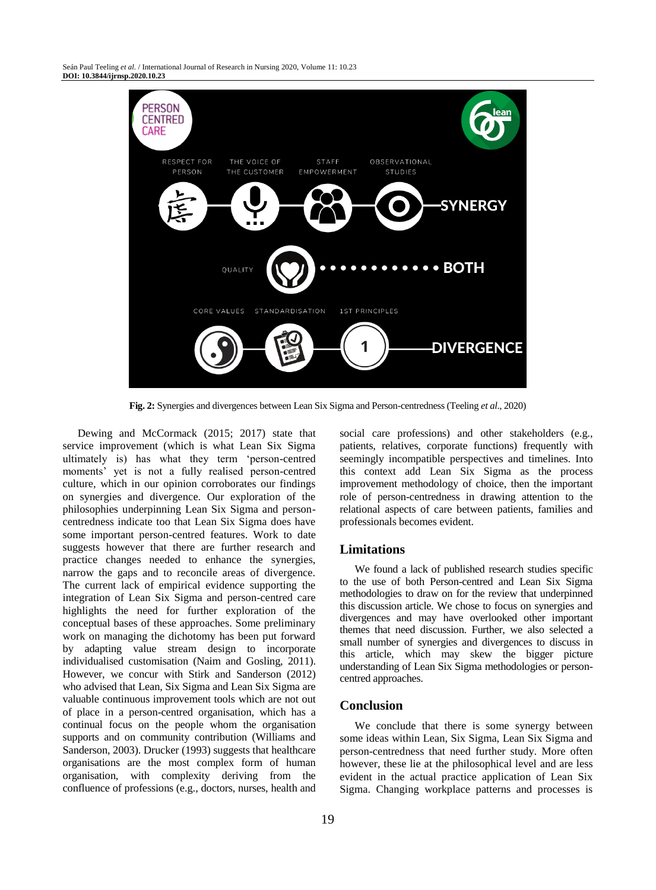Seán Paul Teeling *et al*. / International Journal of Research in Nursing 2020, Volume 11: 10.23 **DOI: 10.3844/ijrnsp.2020.10.23**



**Fig. 2:** Synergies and divergences between Lean Six Sigma and Person-centredness (Teeling *et al*., 2020)

Dewing and McCormack (2015; 2017) state that service improvement (which is what Lean Six Sigma ultimately is) has what they term 'person-centred moments' yet is not a fully realised person-centred culture, which in our opinion corroborates our findings on synergies and divergence. Our exploration of the philosophies underpinning Lean Six Sigma and personcentredness indicate too that Lean Six Sigma does have some important person-centred features. Work to date suggests however that there are further research and practice changes needed to enhance the synergies, narrow the gaps and to reconcile areas of divergence. The current lack of empirical evidence supporting the integration of Lean Six Sigma and person-centred care highlights the need for further exploration of the conceptual bases of these approaches. Some preliminary work on managing the dichotomy has been put forward by adapting value stream design to incorporate individualised customisation (Naim and Gosling, 2011). However, we concur with Stirk and Sanderson (2012) who advised that Lean, Six Sigma and Lean Six Sigma are valuable continuous improvement tools which are not out of place in a person-centred organisation, which has a continual focus on the people whom the organisation supports and on community contribution (Williams and Sanderson, 2003). Drucker (1993) suggests that healthcare organisations are the most complex form of human organisation, with complexity deriving from the confluence of professions (e.g., doctors, nurses, health and

social care professions) and other stakeholders (e.g., patients, relatives, corporate functions) frequently with seemingly incompatible perspectives and timelines. Into this context add Lean Six Sigma as the process improvement methodology of choice, then the important role of person-centredness in drawing attention to the relational aspects of care between patients, families and professionals becomes evident.

#### **Limitations**

We found a lack of published research studies specific to the use of both Person-centred and Lean Six Sigma methodologies to draw on for the review that underpinned this discussion article. We chose to focus on synergies and divergences and may have overlooked other important themes that need discussion. Further, we also selected a small number of synergies and divergences to discuss in this article, which may skew the bigger picture understanding of Lean Six Sigma methodologies or personcentred approaches.

#### **Conclusion**

We conclude that there is some synergy between some ideas within Lean, Six Sigma, Lean Six Sigma and person-centredness that need further study. More often however, these lie at the philosophical level and are less evident in the actual practice application of Lean Six Sigma. Changing workplace patterns and processes is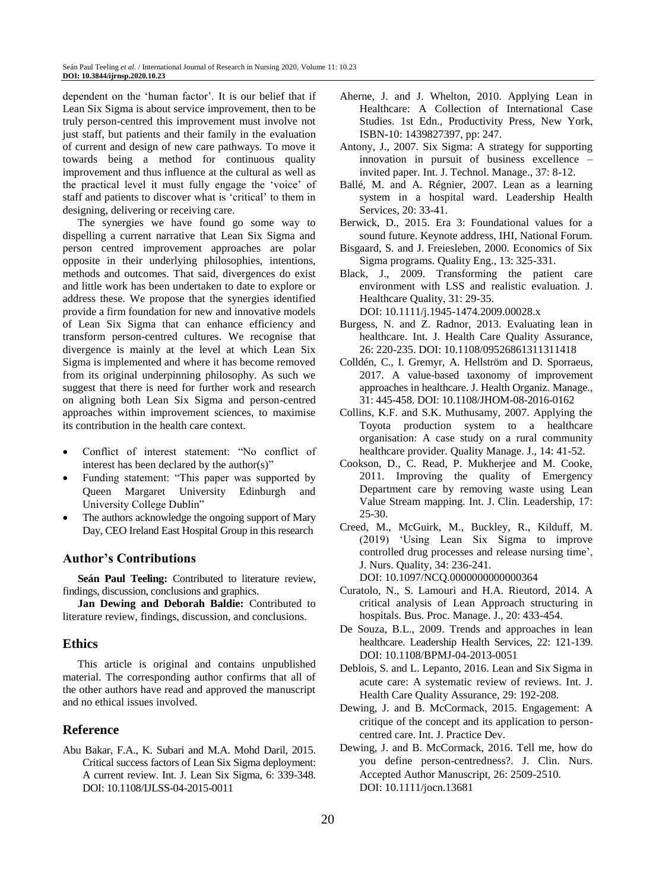dependent on the 'human factor'. It is our belief that if Lean Six Sigma is about service improvement, then to be truly person-centred this improvement must involve not just staff, but patients and their family in the evaluation of current and design of new care pathways. To move it towards being a method for continuous quality improvement and thus influence at the cultural as well as the practical level it must fully engage the 'voice' of staff and patients to discover what is 'critical' to them in designing, delivering or receiving care.

The synergies we have found go some way to dispelling a current narrative that Lean Six Sigma and person centred improvement approaches are polar opposite in their underlying philosophies, intentions, methods and outcomes. That said, divergences do exist and little work has been undertaken to date to explore or address these. We propose that the synergies identified provide a firm foundation for new and innovative models of Lean Six Sigma that can enhance efficiency and transform person-centred cultures. We recognise that divergence is mainly at the level at which Lean Six Sigma is implemented and where it has become removed from its original underpinning philosophy. As such we suggest that there is need for further work and research on aligning both Lean Six Sigma and person-centred approaches within improvement sciences, to maximise its contribution in the health care context.

- Conflict of interest statement: "No conflict of interest has been declared by the author(s)"
- Funding statement: "This paper was supported by Queen Margaret University Edinburgh and University College Dublin"
- The authors acknowledge the ongoing support of Mary Day, CEO Ireland East Hospital Group in this research

# **Author's Contributions**

**Seán Paul Teeling:** Contributed to literature review, findings, discussion, conclusions and graphics.

**Jan Dewing and Deborah Baldie:** Contributed to literature review, findings, discussion, and conclusions.

#### **Ethics**

This article is original and contains unpublished material. The corresponding author confirms that all of the other authors have read and approved the manuscript and no ethical issues involved.

### **Reference**

Abu Bakar, F.A., K. Subari and M.A. Mohd Daril, 2015. Critical success factors of Lean Six Sigma deployment: A current review. Int. J. Lean Six Sigma, 6: 339-348. DOI: 10.1108/IJLSS-04-2015-0011

- Aherne, J. and J. Whelton, 2010. Applying Lean in Healthcare: A Collection of International Case Studies. 1st Edn., Productivity Press, New York, ISBN-10: 1439827397, pp: 247.
- Antony, J., 2007. Six Sigma: A strategy for supporting innovation in pursuit of business excellence – invited paper. Int. J. Technol. Manage., 37: 8-12.
- Ballé, M. and A. Régnier, 2007. Lean as a learning system in a hospital ward. Leadership Health Services, 20: 33-41.
- Berwick, D., 2015. Era 3: Foundational values for a sound future. Keynote address, IHI, National Forum.
- Bisgaard, S. and J. Freiesleben, 2000. Economics of Six Sigma programs. Quality Eng., 13: 325-331.
- Black, J., 2009. Transforming the patient care environment with LSS and realistic evaluation. J. Healthcare Quality, 31: 29-35.

DOI: 10.1111/j.1945-1474.2009.00028.x

- Burgess, N. and Z. Radnor, 2013. Evaluating lean in healthcare. Int. J. Health Care Quality Assurance, 26: 220-235. DOI: 10.1108/09526861311311418
- Colldén, C., I. Gremyr, A. Hellström and D. Sporraeus, 2017. A value-based taxonomy of improvement approaches in healthcare. J. Health Organiz. Manage., 31: 445-458. DOI: 10.1108/JHOM-08-2016-0162
- Collins, K.F. and S.K. Muthusamy, 2007. Applying the Toyota production system to a healthcare organisation: A case study on a rural community healthcare provider. Quality Manage. J., 14: 41-52.
- Cookson, D., C. Read, P. Mukherjee and M. Cooke, 2011. Improving the quality of Emergency Department care by removing waste using Lean Value Stream mapping. Int. J. Clin. Leadership, 17: 25-30.
- Creed, M., McGuirk, M., Buckley, R., Kilduff, M. (2019) 'Using Lean Six Sigma to improve controlled drug processes and release nursing time', J. Nurs. Quality, 34: 236-241.

DOI: 10.1097/NCQ.0000000000000364

- Curatolo, N., S. Lamouri and H.A. Rieutord, 2014. A critical analysis of Lean Approach structuring in hospitals. Bus. Proc. Manage. J., 20: 433-454.
- De Souza, B.L., 2009. Trends and approaches in lean healthcare. Leadership Health Services, 22: 121-139. DOI: 10.1108/BPMJ-04-2013-0051
- Deblois, S. and L. Lepanto, 2016. Lean and Six Sigma in acute care: A systematic review of reviews. Int. J. Health Care Quality Assurance, 29: 192-208.
- Dewing, J. and B. McCormack, 2015. Engagement: A critique of the concept and its application to personcentred care. Int. J. Practice Dev.
- Dewing, J. and B. McCormack, 2016. Tell me, how do you define person-centredness?. J. Clin. Nurs. Accepted Author Manuscript, 26: 2509-2510. DOI: 10.1111/jocn.13681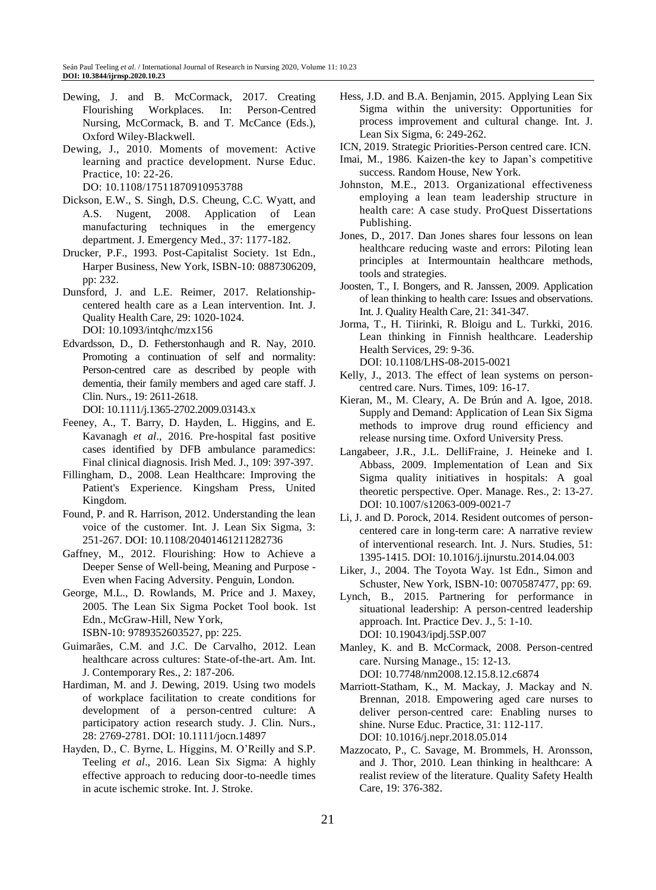- Dewing, J. and B. McCormack, 2017. Creating Flourishing Workplaces. In: Person-Centred Nursing, McCormack, B. and T. McCance (Eds.), Oxford Wiley-Blackwell.
- Dewing, J., 2010. Moments of movement: Active learning and practice development. Nurse Educ. Practice, 10: 22-26.

DO: 10.1108/17511870910953788

- Dickson, E.W., S. Singh, D.S. Cheung, C.C. Wyatt, and A.S. Nugent, 2008. Application of Lean manufacturing techniques in the emergency department. J. Emergency Med., 37: 1177-182.
- Drucker, P.F., 1993. Post-Capitalist Society. 1st Edn., Harper Business, New York, ISBN-10: 0887306209, pp: 232.
- Dunsford, J. and L.E. Reimer, 2017. Relationshipcentered health care as a Lean intervention. Int. J. Quality Health Care, 29: 1020-1024. DOI: 10.1093/intqhc/mzx156
- Edvardsson, D., D. Fetherstonhaugh and R. Nay, 2010. Promoting a continuation of self and normality: Person-centred care as described by people with dementia, their family members and aged care staff. J. Clin. Nurs., 19: 2611-2618.

DOI: 10.1111/j.1365-2702.2009.03143.x

- Feeney, A., T. Barry, D. Hayden, L. Higgins, and E. Kavanagh *et al*., 2016. Pre-hospital fast positive cases identified by DFB ambulance paramedics: Final clinical diagnosis. Irish Med. J., 109: 397-397.
- Fillingham, D., 2008. Lean Healthcare: Improving the Patient's Experience. Kingsham Press, United Kingdom.
- Found, P. and R. Harrison, 2012. Understanding the lean voice of the customer. Int. J. Lean Six Sigma, 3: 251-267. DOI: 10.1108/20401461211282736
- Gaffney, M., 2012. Flourishing: How to Achieve a Deeper Sense of Well-being, Meaning and Purpose - Even when Facing Adversity. Penguin, London.
- George, M.L., D. Rowlands, M. Price and J. Maxey, 2005. The Lean Six Sigma Pocket Tool book. 1st Edn., McGraw-Hill, New York, ISBN-10: 9789352603527, pp: 225.
- Guimarães, C.M. and J.C. De Carvalho, 2012. Lean healthcare across cultures: State-of-the-art. Am. Int. J. Contemporary Res., 2: 187-206.
- Hardiman, M. and J. Dewing, 2019. Using two models of workplace facilitation to create conditions for development of a person-centred culture: A participatory action research study. J. Clin. Nurs., 28: 2769-2781. DOI: 10.1111/jocn.14897
- Hayden, D., C. Byrne, L. Higgins, M. O'Reilly and S.P. Teeling *et al*., 2016. Lean Six Sigma: A highly effective approach to reducing door-to-needle times in acute ischemic stroke. Int. J. Stroke.
- Hess, J.D. and B.A. Benjamin, 2015. Applying Lean Six Sigma within the university: Opportunities for process improvement and cultural change. Int. J. Lean Six Sigma, 6: 249-262.
- ICN, 2019. Strategic Priorities-Person centred care. ICN.
- Imai, M., 1986. Kaizen-the key to Japan's competitive success. Random House, New York.
- Johnston, M.E., 2013. Organizational effectiveness employing a lean team leadership structure in health care: A case study. ProQuest Dissertations Publishing.
- Jones, D., 2017. Dan Jones shares four lessons on lean healthcare reducing waste and errors: Piloting lean principles at Intermountain healthcare methods, tools and strategies.
- Joosten, T., I. Bongers, and R. Janssen, 2009. Application of lean thinking to health care: Issues and observations. Int. J. Quality Health Care, 21: 341-347.
- Jorma, T., H. Tiirinki, R. Bloigu and L. Turkki, 2016. Lean thinking in Finnish healthcare. Leadership Health Services, 29: 9-36. DOI: 10.1108/LHS-08-2015-0021
- Kelly, J., 2013. The effect of lean systems on personcentred care. Nurs. Times, 109: 16-17.
- Kieran, M., M. Cleary, A. De Brún and A. Igoe, 2018. Supply and Demand: Application of Lean Six Sigma methods to improve drug round efficiency and release nursing time. Oxford University Press.
- Langabeer, J.R., J.L. DelliFraine, J. Heineke and I. Abbass, 2009. Implementation of Lean and Six Sigma quality initiatives in hospitals: A goal theoretic perspective. Oper. Manage. Res., 2: 13-27. DOI: 10.1007/s12063-009-0021-7
- Li, J. and D. Porock, 2014. Resident outcomes of personcentered care in long-term care: A narrative review of interventional research. Int. J. Nurs. Studies, 51: 1395-1415. DOI: 10.1016/j.ijnurstu.2014.04.003
- Liker, J., 2004. The Toyota Way. 1st Edn., Simon and Schuster, New York, ISBN-10: 0070587477, pp: 69.
- Lynch, B., 2015. Partnering for performance in situational leadership: A person-centred leadership approach. Int. Practice Dev. J., 5: 1-10. DOI: 10.19043/ipdj.5SP.007
- Manley, K. and B. McCormack, 2008. Person-centred care. Nursing Manage., 15: 12-13. DOI: 10.7748/nm2008.12.15.8.12.c6874
- Marriott-Statham, K., M. Mackay, J. Mackay and N. Brennan, 2018. Empowering aged care nurses to deliver person-centred care: Enabling nurses to shine. Nurse Educ. Practice, 31: 112-117. DOI: 10.1016/j.nepr.2018.05.014
- Mazzocato, P., C. Savage, M. Brommels, H. Aronsson, and J. Thor, 2010. Lean thinking in healthcare: A realist review of the literature. Quality Safety Health Care, 19: 376-382.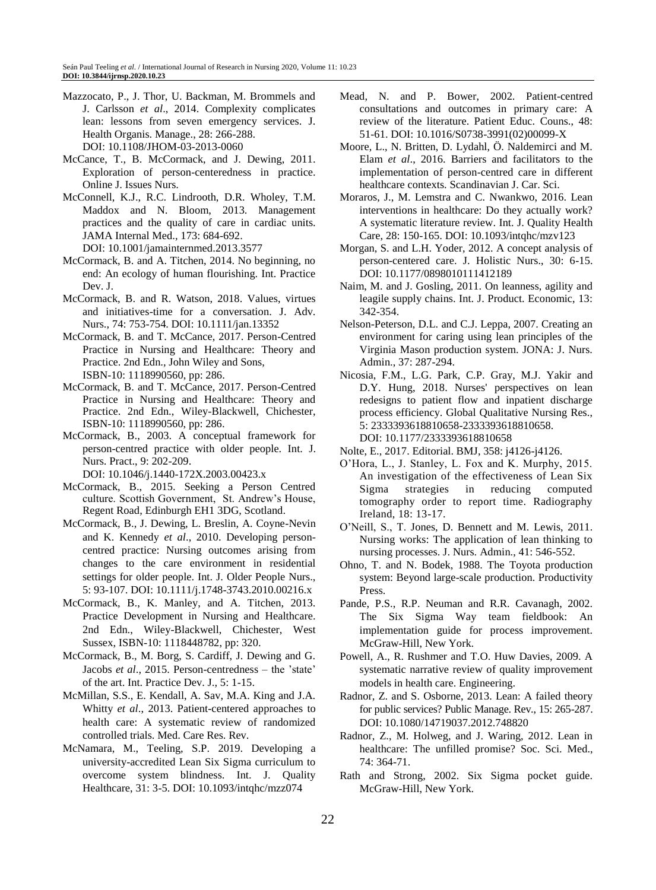- Mazzocato, P., J. Thor, U. Backman, M. Brommels and J. Carlsson *et al*., 2014. Complexity complicates lean: lessons from seven emergency services. J. Health Organis. Manage., 28: 266-288. DOI: 10.1108/JHOM-03-2013-0060
- McCance, T., B. McCormack, and J. Dewing, 2011. Exploration of person-centeredness in practice. Online J. Issues Nurs.
- McConnell, K.J., R.C. Lindrooth, D.R. Wholey, T.M. Maddox and N. Bloom, 2013. Management practices and the quality of care in cardiac units. JAMA Internal Med., 173: 684-692. DOI: 10.1001/jamainternmed.2013.3577
- McCormack, B. and A. Titchen, 2014. No beginning, no end: An ecology of human flourishing. Int. Practice Dev. J.
- McCormack, B. and R. Watson, 2018. Values, virtues and initiatives-time for a conversation. J. Adv. Nurs., 74: 753-754. DOI: 10.1111/jan.13352
- McCormack, B. and T. McCance, 2017. Person-Centred Practice in Nursing and Healthcare: Theory and Practice. 2nd Edn., John Wiley and Sons, ISBN-10: 1118990560, pp: 286.
- McCormack, B. and T. McCance, 2017. Person-Centred Practice in Nursing and Healthcare: Theory and Practice. 2nd Edn., Wiley-Blackwell, Chichester, ISBN-10: 1118990560, pp: 286.
- McCormack, B., 2003. A conceptual framework for person-centred practice with older people. Int. J. Nurs. Pract., 9: 202-209.

DOI: 10.1046/j.1440-172X.2003.00423.x

- McCormack, B., 2015. Seeking a Person Centred culture. Scottish Government, St. Andrew's House, Regent Road, Edinburgh EH1 3DG, Scotland.
- McCormack, B., J. Dewing, L. Breslin, A. Coyne-Nevin and K. Kennedy *et al*., 2010. Developing personcentred practice: Nursing outcomes arising from changes to the care environment in residential settings for older people. Int. J. Older People Nurs., 5: 93-107. DOI: 10.1111/j.1748-3743.2010.00216.x
- McCormack, B., K. Manley, and A. Titchen, 2013. Practice Development in Nursing and Healthcare. 2nd Edn., Wiley-Blackwell, Chichester, West Sussex, ISBN-10: 1118448782, pp: 320.
- McCormack, B., M. Borg, S. Cardiff, J. Dewing and G. Jacobs *et al*., 2015. Person-centredness – the 'state' of the art. Int. Practice Dev. J., 5: 1-15.
- McMillan, S.S., E. Kendall, A. Sav, M.A. King and J.A. Whitty *et al*., 2013. Patient-centered approaches to health care: A systematic review of randomized controlled trials. Med. Care Res. Rev.
- McNamara, M., Teeling, S.P. 2019. Developing a university-accredited Lean Six Sigma curriculum to overcome system blindness. Int. J. Quality Healthcare, 31: 3-5. DOI: 10.1093/intqhc/mzz074
- Mead, N. and P. Bower, 2002. Patient-centred consultations and outcomes in primary care: A review of the literature. Patient Educ. Couns., 48: 51-61. DOI: 10.1016/S0738-3991(02)00099-X
- Moore, L., N. Britten, D. Lydahl, Ö. Naldemirci and M. Elam *et al*., 2016. Barriers and facilitators to the implementation of person-centred care in different healthcare contexts. Scandinavian J. Car. Sci.
- Moraros, J., M. Lemstra and C. Nwankwo, 2016. Lean interventions in healthcare: Do they actually work? A systematic literature review. Int. J. Quality Health Care, 28: 150-165. DOI: 10.1093/intqhc/mzv123
- Morgan, S. and L.H. Yoder, 2012. A concept analysis of person-centered care. J. Holistic Nurs., 30: 6-15. DOI: 10.1177/0898010111412189
- Naim, M. and J. Gosling, 2011. On leanness, agility and leagile supply chains. Int. J. Product. Economic, 13: 342-354.
- Nelson-Peterson, D.L. and C.J. Leppa, 2007. Creating an environment for caring using lean principles of the Virginia Mason production system. JONA: J. Nurs. Admin., 37: 287-294.
- Nicosia, F.M., L.G. Park, C.P. Gray, M.J. Yakir and D.Y. Hung, 2018. Nurses' perspectives on lean redesigns to patient flow and inpatient discharge process efficiency. Global Qualitative Nursing Res., 5: 2333393618810658-2333393618810658. DOI: 10.1177/2333393618810658
- Nolte, E., 2017. Editorial. BMJ, 358: j4126-j4126.
- O'Hora, L., J. Stanley, L. Fox and K. Murphy, 2015. An investigation of the effectiveness of Lean Six Sigma strategies in reducing computed tomography order to report time. Radiography Ireland, 18: 13-17.
- O'Neill, S., T. Jones, D. Bennett and M. Lewis, 2011. Nursing works: The application of lean thinking to nursing processes. J. Nurs. Admin., 41: 546-552.
- Ohno, T. and N. Bodek, 1988. The Toyota production system: Beyond large-scale production. Productivity Press.
- Pande, P.S., R.P. Neuman and R.R. Cavanagh, 2002. The Six Sigma Way team fieldbook: An implementation guide for process improvement. McGraw-Hill, New York.
- Powell, A., R. Rushmer and T.O. Huw Davies, 2009. A systematic narrative review of quality improvement models in health care. Engineering.
- Radnor, Z. and S. Osborne, 2013. Lean: A failed theory for public services? Public Manage. Rev., 15: 265-287. DOI: 10.1080/14719037.2012.748820
- Radnor, Z., M. Holweg, and J. Waring, 2012. Lean in healthcare: The unfilled promise? Soc. Sci. Med., 74: 364-71.
- Rath and Strong, 2002. Six Sigma pocket guide. McGraw-Hill, New York.